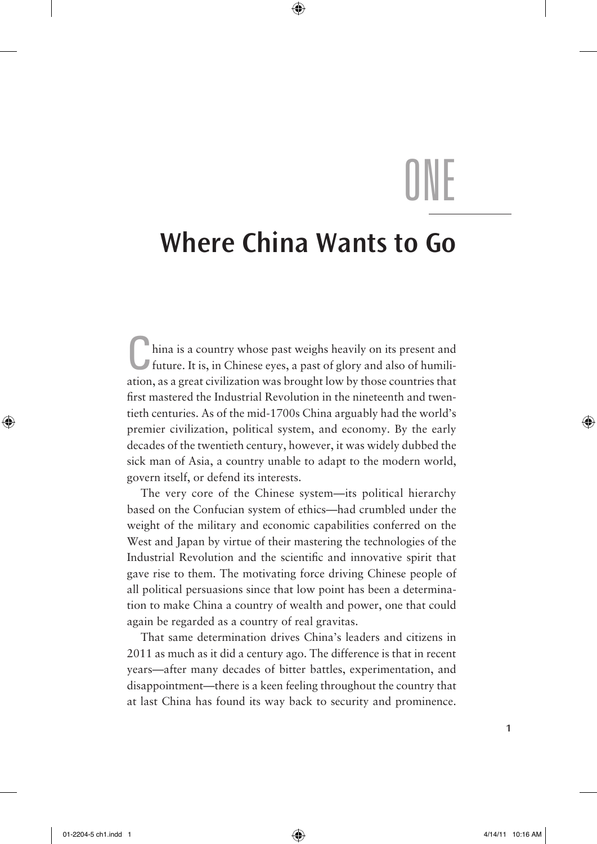## **UNF**

## **Where China Wants to Go**

hina is a country whose past weighs heavily on its present and future. It is, in Chinese eyes, a past of glory and also of humiliation, as a great civilization was brought low by those countries that first mastered the Industrial Revolution in the nineteenth and twentieth centuries. As of the mid-1700s China arguably had the world's premier civilization, political system, and economy. By the early decades of the twentieth century, however, it was widely dubbed the sick man of Asia, a country unable to adapt to the modern world, govern itself, or defend its interests.

The very core of the Chinese system—its political hierarchy based on the Confucian system of ethics—had crumbled under the weight of the military and economic capabilities conferred on the West and Japan by virtue of their mastering the technologies of the Industrial Revolution and the scientific and innovative spirit that gave rise to them. The motivating force driving Chinese people of all political persuasions since that low point has been a determination to make China a country of wealth and power, one that could again be regarded as a country of real gravitas.

That same determination drives China's leaders and citizens in 2011 as much as it did a century ago. The difference is that in recent years—after many decades of bitter battles, experimentation, and disappointment—there is a keen feeling throughout the country that at last China has found its way back to security and prominence.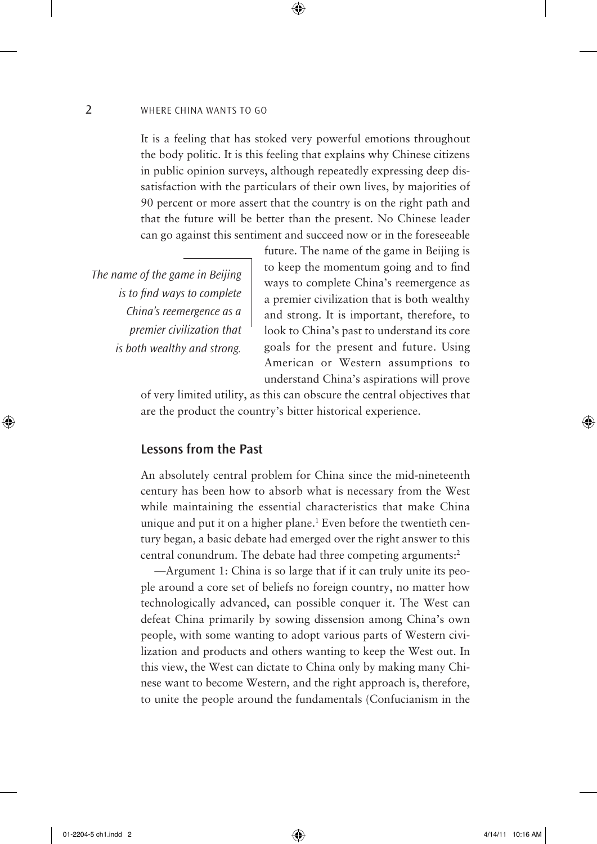It is a feeling that has stoked very powerful emotions throughout the body politic. It is this feeling that explains why Chinese citizens in public opinion surveys, although repeatedly expressing deep dissatisfaction with the particulars of their own lives, by majorities of 90 percent or more assert that the country is on the right path and that the future will be better than the present. No Chinese leader can go against this sentiment and succeed now or in the foreseeable

*The name of the game in Beijing is to find ways to complete China's reemergence as a premier civilization that is both wealthy and strong.*

future. The name of the game in Beijing is to keep the momentum going and to find ways to complete China's reemergence as a premier civilization that is both wealthy and strong. It is important, therefore, to look to China's past to understand its core goals for the present and future. Using American or Western assumptions to understand China's aspirations will prove

of very limited utility, as this can obscure the central objectives that are the product the country's bitter historical experience.

## **Lessons from the Past**

An absolutely central problem for China since the mid-nineteenth century has been how to absorb what is necessary from the West while maintaining the essential characteristics that make China unique and put it on a higher plane.<sup>1</sup> Even before the twentieth century began, a basic debate had emerged over the right answer to this central conundrum. The debate had three competing arguments:<sup>2</sup>

—Argument 1: China is so large that if it can truly unite its people around a core set of beliefs no foreign country, no matter how technologically advanced, can possible conquer it. The West can defeat China primarily by sowing dissension among China's own people, with some wanting to adopt various parts of Western civilization and products and others wanting to keep the West out. In this view, the West can dictate to China only by making many Chinese want to become Western, and the right approach is, therefore, to unite the people around the fundamentals (Confucianism in the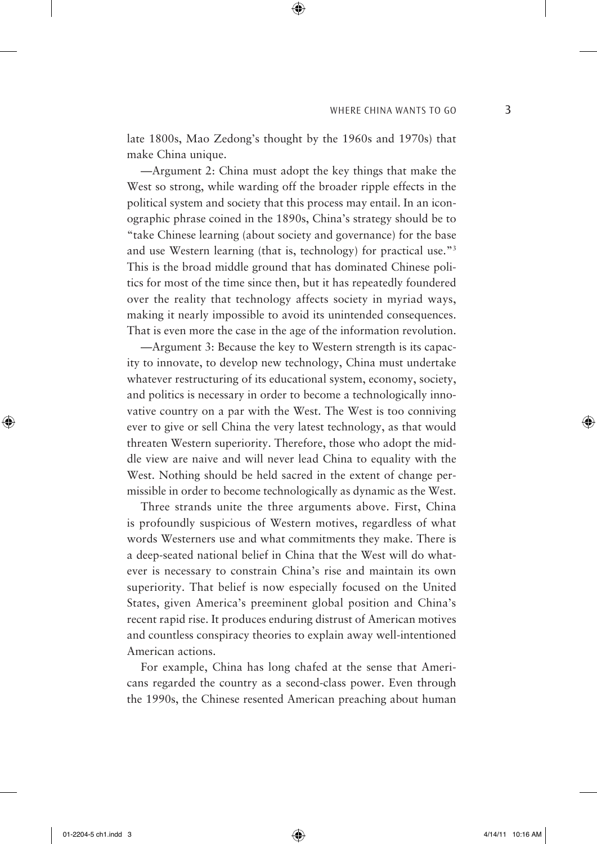late 1800s, Mao Zedong's thought by the 1960s and 1970s) that make China unique.

—Argument 2: China must adopt the key things that make the West so strong, while warding off the broader ripple effects in the political system and society that this process may entail. In an iconographic phrase coined in the 1890s, China's strategy should be to "take Chinese learning (about society and governance) for the base and use Western learning (that is, technology) for practical use."3 This is the broad middle ground that has dominated Chinese politics for most of the time since then, but it has repeatedly foundered over the reality that technology affects society in myriad ways, making it nearly impossible to avoid its unintended consequences. That is even more the case in the age of the information revolution.

—Argument 3: Because the key to Western strength is its capacity to innovate, to develop new technology, China must undertake whatever restructuring of its educational system, economy, society, and politics is necessary in order to become a technologically innovative country on a par with the West. The West is too conniving ever to give or sell China the very latest technology, as that would threaten Western superiority. Therefore, those who adopt the middle view are naive and will never lead China to equality with the West. Nothing should be held sacred in the extent of change permissible in order to become technologically as dynamic as the West.

Three strands unite the three arguments above. First, China is profoundly suspicious of Western motives, regardless of what words Westerners use and what commitments they make. There is a deep-seated national belief in China that the West will do whatever is necessary to constrain China's rise and maintain its own superiority. That belief is now especially focused on the United States, given America's preeminent global position and China's recent rapid rise. It produces enduring distrust of American motives and countless conspiracy theories to explain away well-intentioned American actions.

For example, China has long chafed at the sense that Americans regarded the country as a second-class power. Even through the 1990s, the Chinese resented American preaching about human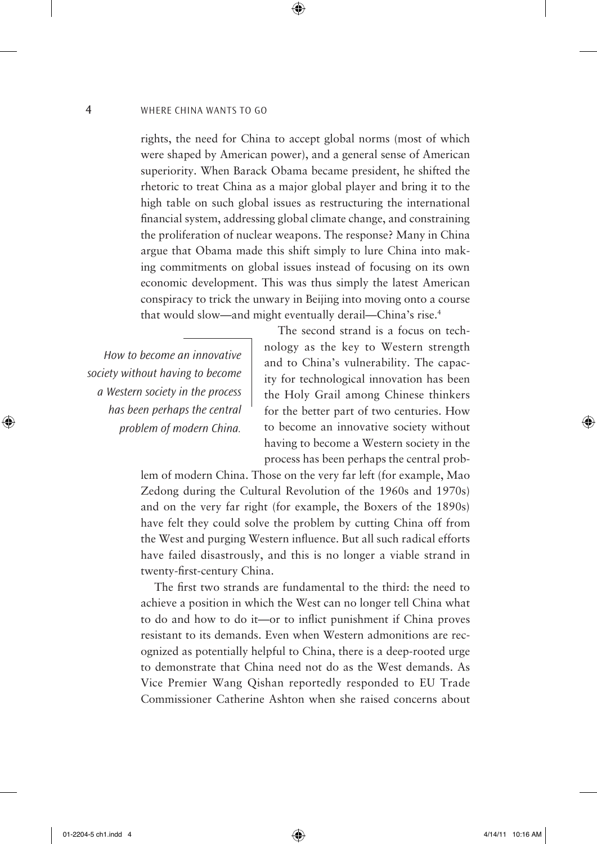rights, the need for China to accept global norms (most of which were shaped by American power), and a general sense of American superiority. When Barack Obama became president, he shifted the rhetoric to treat China as a major global player and bring it to the high table on such global issues as restructuring the international financial system, addressing global climate change, and constraining the proliferation of nuclear weapons. The response? Many in China argue that Obama made this shift simply to lure China into making commitments on global issues instead of focusing on its own economic development. This was thus simply the latest American conspiracy to trick the unwary in Beijing into moving onto a course that would slow—and might eventually derail—China's rise.4

*How to become an innovative society without having to become a Western society in the process has been perhaps the central problem of modern China.*

The second strand is a focus on technology as the key to Western strength and to China's vulnerability. The capacity for technological innovation has been the Holy Grail among Chinese thinkers for the better part of two centuries. How to become an innovative society without having to become a Western society in the process has been perhaps the central prob-

lem of modern China. Those on the very far left (for example, Mao Zedong during the Cultural Revolution of the 1960s and 1970s) and on the very far right (for example, the Boxers of the 1890s) have felt they could solve the problem by cutting China off from the West and purging Western influence. But all such radical efforts have failed disastrously, and this is no longer a viable strand in twenty-first-century China.

The first two strands are fundamental to the third: the need to achieve a position in which the West can no longer tell China what to do and how to do it—or to inflict punishment if China proves resistant to its demands. Even when Western admonitions are recognized as potentially helpful to China, there is a deep-rooted urge to demonstrate that China need not do as the West demands. As Vice Premier Wang Qishan reportedly responded to EU Trade Commissioner Catherine Ashton when she raised concerns about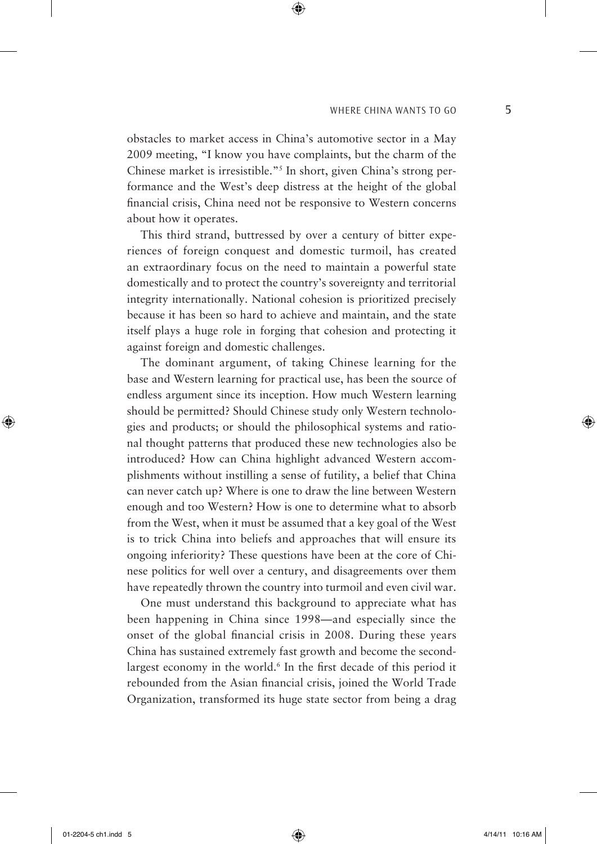obstacles to market access in China's automotive sector in a May 2009 meeting, "I know you have complaints, but the charm of the Chinese market is irresistible."5 In short, given China's strong performance and the West's deep distress at the height of the global financial crisis, China need not be responsive to Western concerns about how it operates.

This third strand, buttressed by over a century of bitter experiences of foreign conquest and domestic turmoil, has created an extraordinary focus on the need to maintain a powerful state domestically and to protect the country's sovereignty and territorial integrity internationally. National cohesion is prioritized precisely because it has been so hard to achieve and maintain, and the state itself plays a huge role in forging that cohesion and protecting it against foreign and domestic challenges.

The dominant argument, of taking Chinese learning for the base and Western learning for practical use, has been the source of endless argument since its inception. How much Western learning should be permitted? Should Chinese study only Western technologies and products; or should the philosophical systems and rational thought patterns that produced these new technologies also be introduced? How can China highlight advanced Western accomplishments without instilling a sense of futility, a belief that China can never catch up? Where is one to draw the line between Western enough and too Western? How is one to determine what to absorb from the West, when it must be assumed that a key goal of the West is to trick China into beliefs and approaches that will ensure its ongoing inferiority? These questions have been at the core of Chinese politics for well over a century, and disagreements over them have repeatedly thrown the country into turmoil and even civil war.

One must understand this background to appreciate what has been happening in China since 1998—and especially since the onset of the global financial crisis in 2008. During these years China has sustained extremely fast growth and become the secondlargest economy in the world.<sup>6</sup> In the first decade of this period it rebounded from the Asian financial crisis, joined the World Trade Organization, transformed its huge state sector from being a drag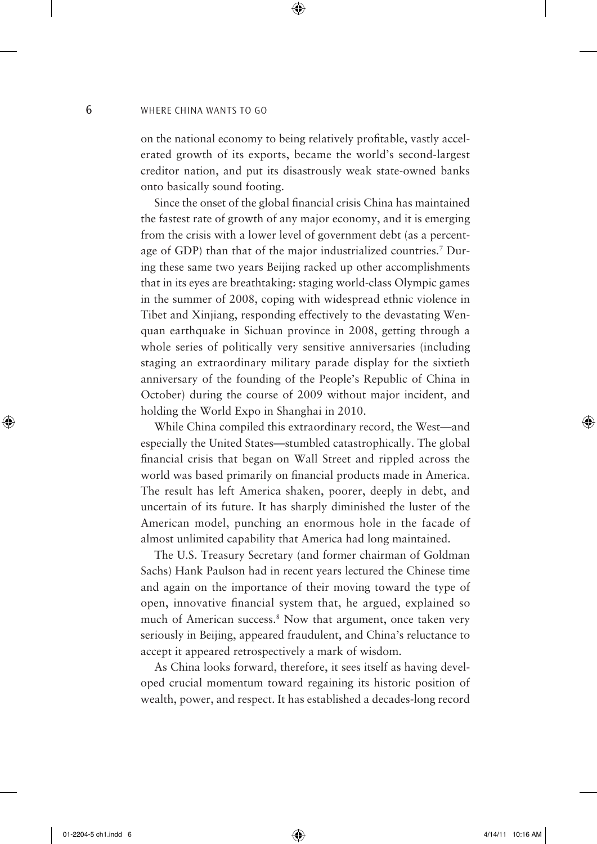on the national economy to being relatively profitable, vastly accelerated growth of its exports, became the world's second-largest creditor nation, and put its disastrously weak state-owned banks onto basically sound footing.

Since the onset of the global financial crisis China has maintained the fastest rate of growth of any major economy, and it is emerging from the crisis with a lower level of government debt (as a percentage of GDP) than that of the major industrialized countries.7 During these same two years Beijing racked up other accomplishments that in its eyes are breathtaking: staging world-class Olympic games in the summer of 2008, coping with widespread ethnic violence in Tibet and Xinjiang, responding effectively to the devastating Wenquan earthquake in Sichuan province in 2008, getting through a whole series of politically very sensitive anniversaries (including staging an extraordinary military parade display for the sixtieth anniversary of the founding of the People's Republic of China in October) during the course of 2009 without major incident, and holding the World Expo in Shanghai in 2010.

While China compiled this extraordinary record, the West—and especially the United States—stumbled catastrophically. The global financial crisis that began on Wall Street and rippled across the world was based primarily on financial products made in America. The result has left America shaken, poorer, deeply in debt, and uncertain of its future. It has sharply diminished the luster of the American model, punching an enormous hole in the facade of almost unlimited capability that America had long maintained.

The U.S. Treasury Secretary (and former chairman of Goldman Sachs) Hank Paulson had in recent years lectured the Chinese time and again on the importance of their moving toward the type of open, innovative financial system that, he argued, explained so much of American success.<sup>8</sup> Now that argument, once taken very seriously in Beijing, appeared fraudulent, and China's reluctance to accept it appeared retrospectively a mark of wisdom.

As China looks forward, therefore, it sees itself as having developed crucial momentum toward regaining its historic position of wealth, power, and respect. It has established a decades-long record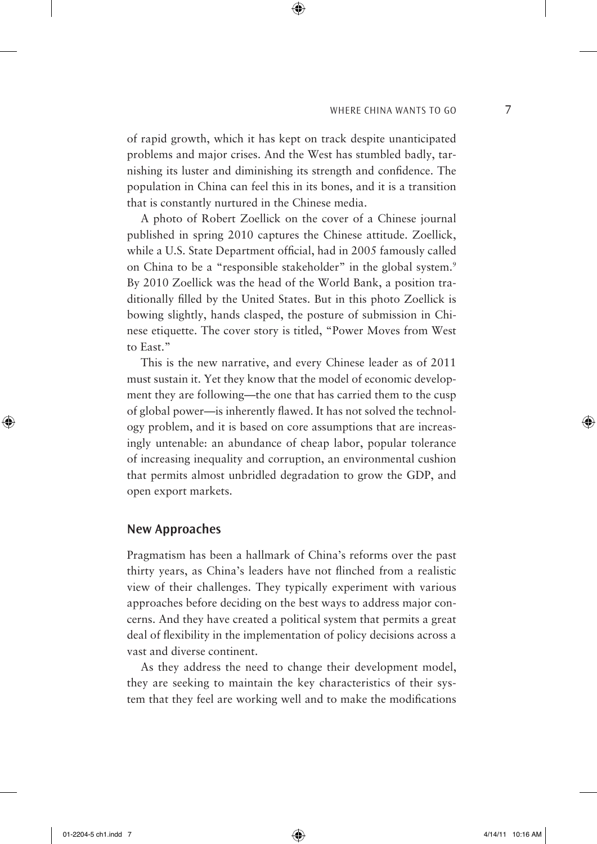of rapid growth, which it has kept on track despite unanticipated problems and major crises. And the West has stumbled badly, tarnishing its luster and diminishing its strength and confidence. The population in China can feel this in its bones, and it is a transition that is constantly nurtured in the Chinese media.

A photo of Robert Zoellick on the cover of a Chinese journal published in spring 2010 captures the Chinese attitude. Zoellick, while a U.S. State Department official, had in 2005 famously called on China to be a "responsible stakeholder" in the global system.<sup>9</sup> By 2010 Zoellick was the head of the World Bank, a position traditionally filled by the United States. But in this photo Zoellick is bowing slightly, hands clasped, the posture of submission in Chinese etiquette. The cover story is titled, "Power Moves from West to East."

This is the new narrative, and every Chinese leader as of 2011 must sustain it. Yet they know that the model of economic development they are following—the one that has carried them to the cusp of global power—is inherently flawed. It has not solved the technology problem, and it is based on core assumptions that are increasingly untenable: an abundance of cheap labor, popular tolerance of increasing inequality and corruption, an environmental cushion that permits almost unbridled degradation to grow the GDP, and open export markets.

## **New Approaches**

Pragmatism has been a hallmark of China's reforms over the past thirty years, as China's leaders have not flinched from a realistic view of their challenges. They typically experiment with various approaches before deciding on the best ways to address major concerns. And they have created a political system that permits a great deal of flexibility in the implementation of policy decisions across a vast and diverse continent.

As they address the need to change their development model, they are seeking to maintain the key characteristics of their system that they feel are working well and to make the modifications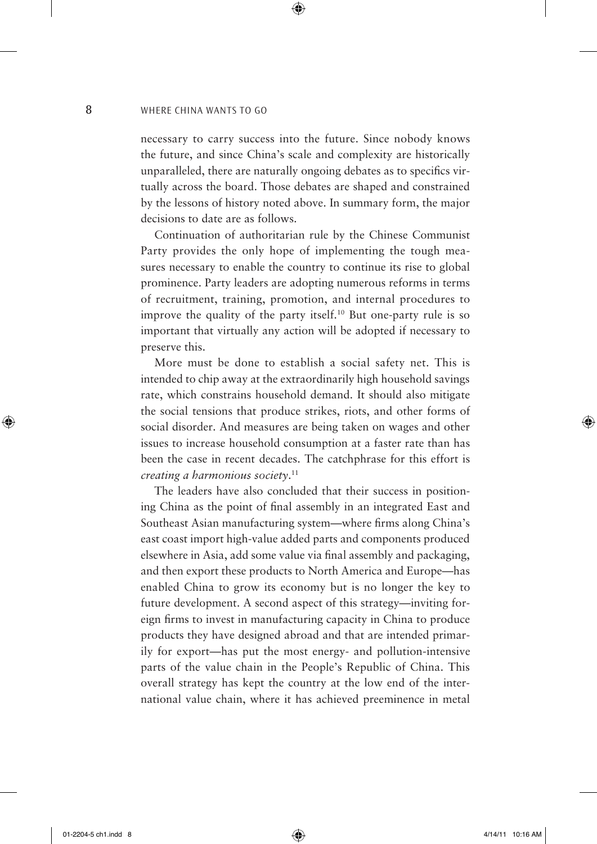necessary to carry success into the future. Since nobody knows the future, and since China's scale and complexity are historically unparalleled, there are naturally ongoing debates as to specifics virtually across the board. Those debates are shaped and constrained by the lessons of history noted above. In summary form, the major decisions to date are as follows.

Continuation of authoritarian rule by the Chinese Communist Party provides the only hope of implementing the tough measures necessary to enable the country to continue its rise to global prominence. Party leaders are adopting numerous reforms in terms of recruitment, training, promotion, and internal procedures to improve the quality of the party itself.10 But one-party rule is so important that virtually any action will be adopted if necessary to preserve this.

More must be done to establish a social safety net. This is intended to chip away at the extraordinarily high household savings rate, which constrains household demand. It should also mitigate the social tensions that produce strikes, riots, and other forms of social disorder. And measures are being taken on wages and other issues to increase household consumption at a faster rate than has been the case in recent decades. The catchphrase for this effort is *creating a harmonious society*. 11

The leaders have also concluded that their success in positioning China as the point of final assembly in an integrated East and Southeast Asian manufacturing system—where firms along China's east coast import high-value added parts and components produced elsewhere in Asia, add some value via final assembly and packaging, and then export these products to North America and Europe—has enabled China to grow its economy but is no longer the key to future development. A second aspect of this strategy—inviting foreign firms to invest in manufacturing capacity in China to produce products they have designed abroad and that are intended primarily for export—has put the most energy- and pollution-intensive parts of the value chain in the People's Republic of China. This overall strategy has kept the country at the low end of the international value chain, where it has achieved preeminence in metal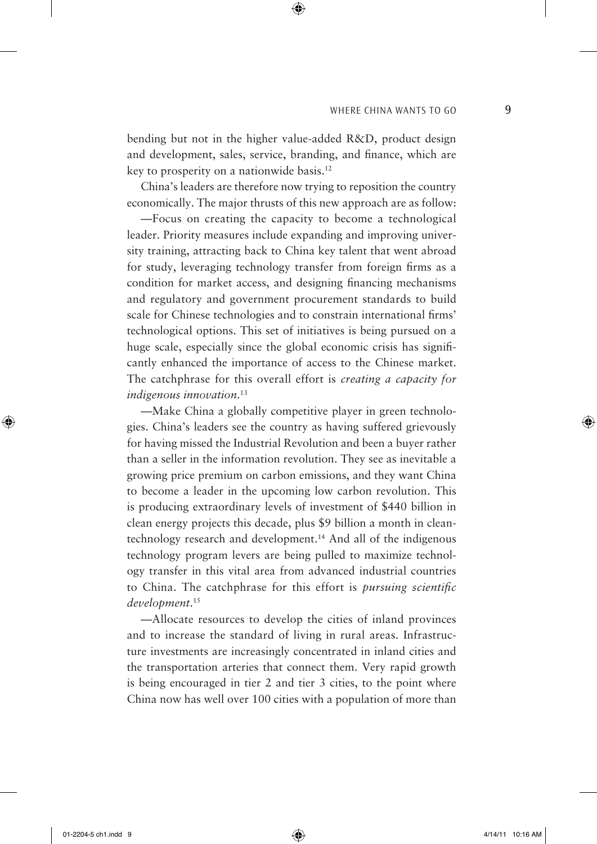bending but not in the higher value-added R&D, product design and development, sales, service, branding, and finance, which are key to prosperity on a nationwide basis.12

China's leaders are therefore now trying to reposition the country economically. The major thrusts of this new approach are as follow:

*—*Focus on creating the capacity to become a technological leader. Priority measures include expanding and improving university training, attracting back to China key talent that went abroad for study, leveraging technology transfer from foreign firms as a condition for market access, and designing financing mechanisms and regulatory and government procurement standards to build scale for Chinese technologies and to constrain international firms' technological options. This set of initiatives is being pursued on a huge scale, especially since the global economic crisis has significantly enhanced the importance of access to the Chinese market. The catchphrase for this overall effort is *creating a capacity for indigenous innovation*. 13

*—*Make China a globally competitive player in green technologies. China's leaders see the country as having suffered grievously for having missed the Industrial Revolution and been a buyer rather than a seller in the information revolution. They see as inevitable a growing price premium on carbon emissions, and they want China to become a leader in the upcoming low carbon revolution. This is producing extraordinary levels of investment of \$440 billion in clean energy projects this decade, plus \$9 billion a month in cleantechnology research and development.14 And all of the indigenous technology program levers are being pulled to maximize technology transfer in this vital area from advanced industrial countries to China. The catchphrase for this effort is *pursuing scientific development*. 15

—Allocate resources to develop the cities of inland provinces and to increase the standard of living in rural areas. Infrastructure investments are increasingly concentrated in inland cities and the transportation arteries that connect them. Very rapid growth is being encouraged in tier 2 and tier 3 cities, to the point where China now has well over 100 cities with a population of more than